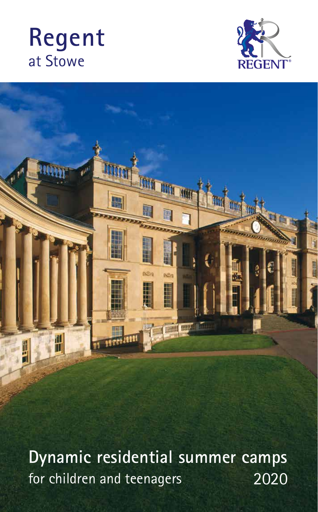# **Regent**  at Stowe





**2020 Dynamic residential summer camps**  for children and teenagers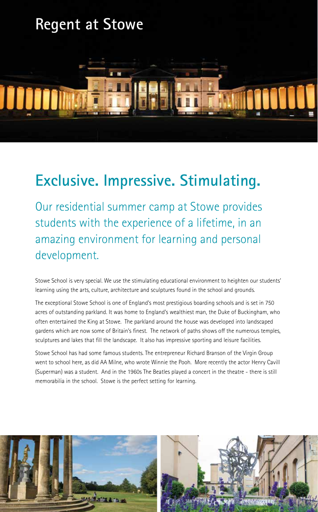### **Regent at Stowe**



### **Exclusive. Impressive. Stimulating.**

Our residential summer camp at Stowe provides students with the experience of a lifetime, in an amazing environment for learning and personal development.

Stowe School is very special. We use the stimulating educational environment to heighten our students' learning using the arts, culture, architecture and sculptures found in the school and grounds.

The exceptional Stowe School is one of England's most prestigious boarding schools and is set in 750 acres of outstanding parkland. It was home to England's wealthiest man, the Duke of Buckingham, who often entertained the King at Stowe. The parkland around the house was developed into landscaped gardens which are now some of Britain's finest. The network of paths shows off the numerous temples, sculptures and lakes that fill the landscape. It also has impressive sporting and leisure facilities.

Stowe School has had some famous students. The entrepreneur Richard Branson of the Virgin Group went to school here, as did AA Milne, who wrote Winnie the Pooh. More recently the actor Henry Cavill (Superman) was a student. And in the 1960s The Beatles played a concert in the theatre - there is still memorabilia in the school. Stowe is the perfect setting for learning.

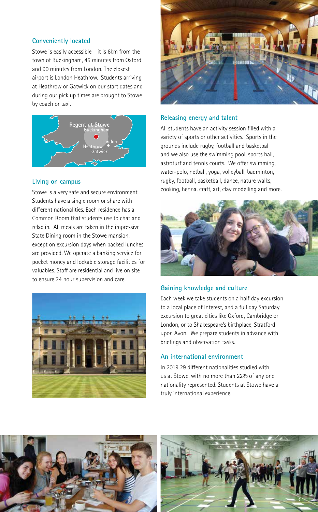### **Conveniently located**

Stowe is easily accessible – it is 6km from the town of Buckingham, 45 minutes from Oxford and 90 minutes from London. The closest airport is London Heathrow. Students arriving at Heathrow or Gatwick on our start dates and during our pick up times are brought to Stowe by coach or taxi.



### **Living on campus**

Stowe is a very safe and secure environment. Students have a single room or share with different nationalities. Each residence has a Common Room that students use to chat and relax in. All meals are taken in the impressive State Dining room in the Stowe mansion, except on excursion days when packed lunches are provided. We operate a banking service for pocket money and lockable storage facilities for valuables. Staff are residential and live on site to ensure 24 hour supervision and care.





#### **Releasing energy and talent**

All students have an activity session filled with a variety of sports or other activities. Sports in the grounds include rugby, football and basketball and we also use the swimming pool, sports hall, astroturf and tennis courts. We offer swimming, water-polo, netball, yoga, volleyball, badminton, rugby, football, basketball, dance, nature walks, cooking, henna, craft, art, clay modelling and more.



#### **Gaining knowledge and culture**

Each week we take students on a half day excursion to a local place of interest, and a full day Saturday excursion to great cities like Oxford, Cambridge or London, or to Shakespeare's birthplace, Stratford upon Avon. We prepare students in advance with briefings and observation tasks.

#### **An international environment**

In 2019 29 different nationalities studied with us at Stowe, with no more than 22% of any one nationality represented. Students at Stowe have a truly international experience.



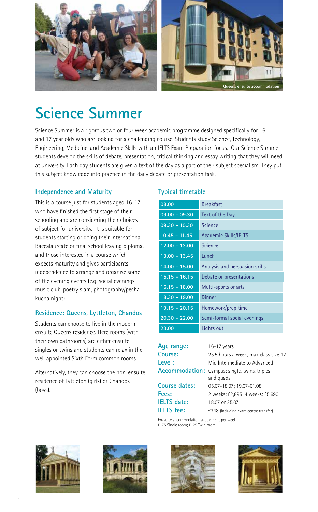

### **Science Summer**

Science Summer is a rigorous two or four week academic programme designed specifically for 16 and 17 year olds who are looking for a challenging course. Students study Science, Technology, Engineering, Medicine, and Academic Skills with an IELTS Exam Preparation focus. Our Science Summer students develop the skills of debate, presentation, critical thinking and essay writing that they will need at university. Each day students are given a text of the day as a part of their subject specialism. They put this subject knowledge into practice in the daily debate or presentation task.

### **Independence and Maturity**

This is a course just for students aged 16-17 who have finished the first stage of their schooling and are considering their choices of subject for university. It is suitable for students starting or doing their International Baccalaureate or final school leaving diploma, and those interested in a course which expects maturity and gives participants independence to arrange and organise some of the evening events (e.g. social evenings, music club, poetry slam, photography/pechakucha night).

### **Residence: Queens, Lyttleton, Chandos**

Students can choose to live in the modern ensuite Queens residence. Here rooms (with their own bathrooms) are either ensuite singles or twins and students can relax in the well appointed Sixth Form common rooms.

Alternatively, they can choose the non-ensuite residence of Lyttleton (girls) or Chandos (boys).

### **Typical timetable**

| 08.00           | <b>Breakfast</b>               |
|-----------------|--------------------------------|
| $09.00 - 09.30$ | Text of the Day                |
| $09.30 - 10.30$ | Science                        |
| $10.45 - 11.45$ | <b>Academic Skills/IELTS</b>   |
| $12.00 - 13.00$ | Science                        |
| $13.00 - 13.45$ | Lunch                          |
| $14.00 - 15.00$ | Analysis and persuasion skills |
| $15.15 - 16.15$ | Debate or presentations        |
| $16.15 - 18.00$ | Multi-sports or arts           |
| $18.30 - 19.00$ | Dinner                         |
| $19.15 - 20.15$ | Homework/prep time             |
| $20.30 - 22.00$ | Semi-formal social evenings    |
| 23.00           | Lights out                     |

| Age range:           | 16-17 years                                                |
|----------------------|------------------------------------------------------------|
| Course:              | 25.5 hours a week; max class size 12                       |
| Level:               | Mid Intermediate to Advanced                               |
|                      | Accommodation: Campus: single, twins, triples<br>and quads |
| <b>Course dates:</b> | 05.07-18.07; 19.07-01.08                                   |
| Fees:                | 2 weeks: £2,895; 4 weeks: £5,690                           |
| <b>IELTS</b> date:   | 18.07 or 25.07                                             |
| <b>IELTS</b> fee:    | £348 (including exam centre transfer)                      |
|                      |                                                            |

En-suite accommodation supplement per week: £175 Single room; £125 Twin room







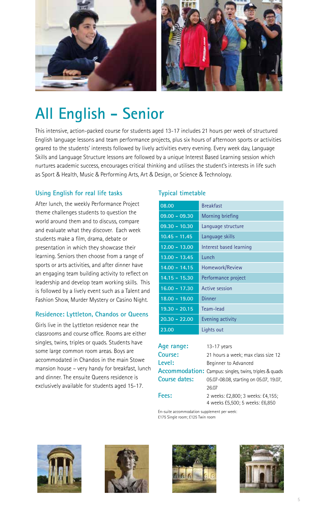

## **All English - Senior**

This intensive, action-packed course for students aged 13-17 includes 21 hours per week of structured English language lessons and team performance projects, plus six hours of afternoon sports or activities geared to the students' interests followed by lively activities every evening. Every week day, Language Skills and Language Structure lessons are followed by a unique Interest Based Learning session which nurtures academic success, encourages critical thinking and utilises the student's interests in life such as Sport & Health, Music & Performing Arts, Art & Design, or Science & Technology.

### **Using English for real life tasks**

After lunch, the weekly Performance Project theme challenges students to question the world around them and to discuss, compare and evaluate what they discover. Each week students make a film, drama, debate or presentation in which they showcase their learning. Seniors then choose from a range of sports or arts activities, and after dinner have an engaging team building activity to reflect on leadership and develop team working skills. This is followed by a lively event such as a Talent and Fashion Show, Murder Mystery or Casino Night.

### **Residence: Lyttleton, Chandos or Queens**

Girls live in the Lyttleton residence near the classrooms and course office. Rooms are either singles, twins, triples or quads. Students have some large common room areas. Boys are accommodated in Chandos in the main Stowe mansion house – very handy for breakfast, lunch and dinner. The ensuite Queens residence is exclusively available for students aged 15-17.

### **Typical timetable**

| <b>Breakfast</b>        |
|-------------------------|
| <b>Morning briefing</b> |
| Language structure      |
| Language skills         |
| Interest based learning |
| Lunch                   |
| Homework/Review         |
| Performance project     |
| Active session          |
| Dinner                  |
| Team-lead               |
| Evening activity        |
| Lights out              |
|                         |

| Age range:    | $13-17$ years                                                        |
|---------------|----------------------------------------------------------------------|
| Course:       | 21 hours a week; max class size 12                                   |
| Level:        | Beginner to Advanced                                                 |
|               | Accommodation: Campus: singles, twins, triples & quads               |
| Course dates: | 05.07-08.08, starting on 05.07, 19.07.                               |
|               | 26.07                                                                |
| Fees:         | 2 weeks: £2,800; 3 weeks: £4,155;<br>4 weeks £5,500; 5 weeks: £6,850 |

En-suite accommodation supplement per week:









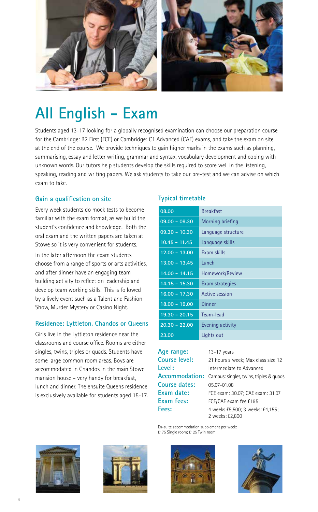

### **All English - Exam**

Students aged 13-17 looking for a globally recognised examination can choose our preparation course for the Cambridge: B2 First (FCE) or Cambridge: C1 Advanced (CAE) exams, and take the exam on site at the end of the course. We provide techniques to gain higher marks in the exams such as planning, summarising, essay and letter writing, grammar and syntax, vocabulary development and coping with unknown words. Our tutors help students develop the skills required to score well in the listening, speaking, reading and writing papers. We ask students to take our pre-test and we can advise on which exam to take.

### **Gain a qualification on site**

Every week students do mock tests to become familiar with the exam format, as we build the student's confidence and knowledge. Both the oral exam and the written papers are taken at Stowe so it is very convenient for students.

In the later afternoon the exam students choose from a range of sports or arts activities, and after dinner have an engaging team building activity to reflect on leadership and develop team working skills. This is followed by a lively event such as a Talent and Fashion Show, Murder Mystery or Casino Night.

### **Residence: Lyttleton, Chandos or Queens**

Girls live in the Lyttleton residence near the classrooms and course office. Rooms are either singles, twins, triples or quads. Students have some large common room areas. Boys are accommodated in Chandos in the main Stowe mansion house – very handy for breakfast, lunch and dinner. The ensuite Queens residence is exclusively available for students aged 15-17.

### **Typical timetable**

| 08.00           | <b>Breakfast</b>   |
|-----------------|--------------------|
| $09.00 - 09.30$ | Morning briefing   |
| 09.30 - 10.30   | Language structure |
| $10.45 - 11.45$ | Language skills    |
| $12.00 - 13.00$ | Exam skills        |
| $13.00 - 13.45$ | Lunch              |
| $14.00 - 14.15$ | Homework/Review    |
| $14.15 - 15.30$ | Exam strategies    |
| $16.00 - 17.30$ | Active session     |
| $18.00 - 19.00$ | Dinner             |
| $19.30 - 20.15$ | Team-lead          |
| $20.30 - 22.00$ | Evening activity   |
| 23.00           | Lights out         |

Age range: 13-17 years **Level:** Intermediate to Advanced **Course dates:** 05.07-01.08 **Exam fees:** FCE/CAE exam fee £195

**Course level:** 21 hours a week; Max class size 12 **Accommodation:** Campus: singles, twins, triples & quads **Exam date:** FCE exam: 30.07; CAE exam: 31.07 **Fees:** 4 weeks £5,500; 3 weeks: £4,155; 2 weeks: £2,800

En-suite accommodation supplement per week: £175 Single room; £125 Twin room







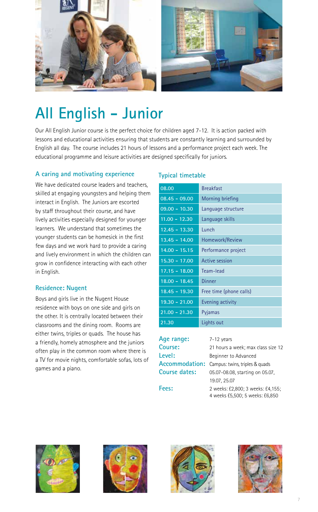

## **All English - Junior**

Our All English Junior course is the perfect choice for children aged 7-12. It is action packed with lessons and educational activities ensuring that students are constantly learning and surrounded by English all day. The course includes 21 hours of lessons and a performance project each week. The educational programme and leisure activities are designed specifically for juniors.

### **A caring and motivating experience**

We have dedicated course leaders and teachers, skilled at engaging youngsters and helping them interact in English. The Juniors are escorted by staff throughout their course, and have lively activities especially designed for younger learners. We understand that sometimes the younger students can be homesick in the first few days and we work hard to provide a caring and lively environment in which the children can grow in confidence interacting with each other in English.

### **Residence: Nugent**

Boys and girls live in the Nugent House residence with boys on one side and girls on the other. It is centrally located between their classrooms and the dining room. Rooms are either twins, triples or quads. The house has a friendly, homely atmosphere and the juniors often play in the common room where there is a TV for movie nights, comfortable sofas, lots of games and a piano.

### **Typical timetable**

| 08.00           | <b>Breakfast</b>        |
|-----------------|-------------------------|
| $08.45 - 09.00$ | Morning briefing        |
| $09.00 - 10.30$ | Language structure      |
| $11.00 - 12.30$ | Language skills         |
| $12.45 - 13.30$ | Lunch                   |
| $13.45 - 14.00$ | Homework/Review         |
| $14.00 - 15.15$ | Performance project     |
| $15.30 - 17.00$ | Active session          |
| $17.15 - 18.00$ | Team-lead               |
| $18.00 - 18.45$ | Dinner                  |
| $18.45 - 19.30$ | Free time (phone calls) |
| 19.30 - 21.00   | Evening activity        |
| $21.00 - 21.30$ | Pyjamas                 |
| 21.30           | Lights out              |

| Age range:           | 7-12 years                                                           |
|----------------------|----------------------------------------------------------------------|
| Course:              | 21 hours a week; max class size 12                                   |
| Level:               | Beginner to Advanced                                                 |
|                      | <b>Accommodation:</b> Campus: twins, triples & quads                 |
| <b>Course dates:</b> | 05.07-08.08, starting on 05.07.                                      |
|                      | 19.07, 25.07                                                         |
| Fees:                | 2 weeks: £2,800; 3 weeks: £4,155;<br>4 weeks £5,500; 5 weeks: £6,850 |